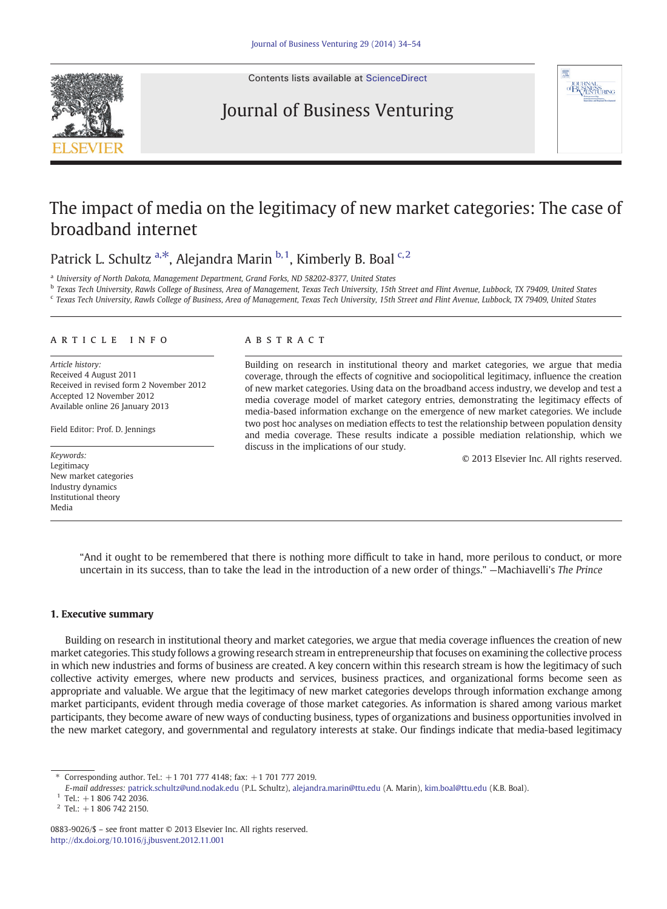

Contents lists available at [ScienceDirect](http://www.sciencedirect.com/science/journal/08839026)

## Journal of Business Venturing



## The impact of media on the legitimacy of new market categories: The case of broadband internet

Patrick L. Schultz a,\*, Alejandra Marin  $b$ ,1, Kimberly B. Boal  $c$ ,2

<sup>a</sup> University of North Dakota, Management Department, Grand Forks, ND 58202-8377, United States

<sup>b</sup> Texas Tech University, Rawls College of Business, Area of Management, Texas Tech University, 15th Street and Flint Avenue, Lubbock, TX 79409, United States

<sup>c</sup> Texas Tech University, Rawls College of Business, Area of Management, Texas Tech University, 15th Street and Flint Avenue, Lubbock, TX 79409, United States

### article info abstract

Article history: Received 4 August 2011 Received in revised form 2 November 2012 Accepted 12 November 2012 Available online 26 January 2013

Field Editor: Prof. D. Jennings

Legitimacy New market categories Industry dynamics Institutional theory Media

Building on research in institutional theory and market categories, we argue that media coverage, through the effects of cognitive and sociopolitical legitimacy, influence the creation of new market categories. Using data on the broadband access industry, we develop and test a media coverage model of market category entries, demonstrating the legitimacy effects of media-based information exchange on the emergence of new market categories. We include two post hoc analyses on mediation effects to test the relationship between population density and media coverage. These results indicate a possible mediation relationship, which we discuss in the implications of our study.

© 2013 Elsevier Inc. All rights reserved. Keywords:

"And it ought to be remembered that there is nothing more difficult to take in hand, more perilous to conduct, or more uncertain in its success, than to take the lead in the introduction of a new order of things." —Machiavelli's The Prince

### 1. Executive summary

Building on research in institutional theory and market categories, we argue that media coverage influences the creation of new market categories. This study follows a growing research stream in entrepreneurship that focuses on examining the collective process in which new industries and forms of business are created. A key concern within this research stream is how the legitimacy of such collective activity emerges, where new products and services, business practices, and organizational forms become seen as appropriate and valuable. We argue that the legitimacy of new market categories develops through information exchange among market participants, evident through media coverage of those market categories. As information is shared among various market participants, they become aware of new ways of conducting business, types of organizations and business opportunities involved in the new market category, and governmental and regulatory interests at stake. Our findings indicate that media-based legitimacy

<sup>⁎</sup> Corresponding author. Tel.: +1 701 777 4148; fax: +1 701 777 2019.

E-mail addresses: [patrick.schultz@und.nodak.edu](mailto:patrick.schultz@und.nodak.edu) (P.L. Schultz), [alejandra.marin@ttu.edu](mailto:alejandra.marin@ttu.edu) (A. Marin), [kim.boal@ttu.edu](mailto:kim.boal@ttu.edu) (K.B. Boal).

 $1$  Tel.: +1 806 742 2036.

 $2$  Tel.: +1 806 742 2150.

<sup>0883-9026/\$</sup> – see front matter © 2013 Elsevier Inc. All rights reserved. <http://dx.doi.org/10.1016/j.jbusvent.2012.11.001>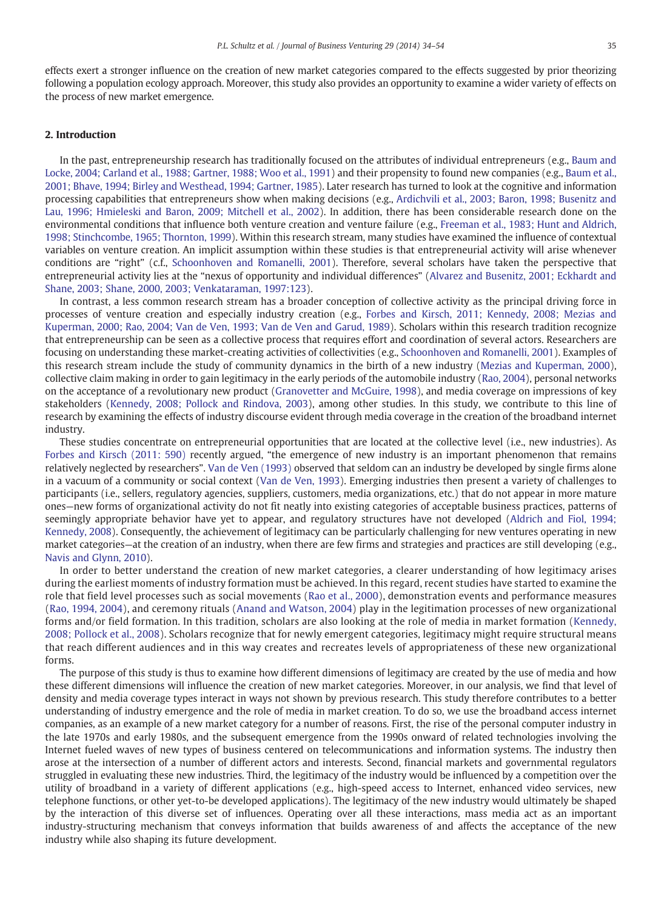effects exert a stronger influence on the creation of new market categories compared to the effects suggested by prior theorizing following a population ecology approach. Moreover, this study also provides an opportunity to examine a wider variety of effects on the process of new market emergence.

### 2. Introduction

In the past, entrepreneurship research has traditionally focused on the attributes of individual entrepreneurs (e.g., [Baum and](#page--1-0) [Locke, 2004; Carland et al., 1988; Gartner, 1988; Woo et al., 1991](#page--1-0)) and their propensity to found new companies (e.g., [Baum et al.,](#page--1-0) [2001; Bhave, 1994; Birley and Westhead, 1994; Gartner, 1985](#page--1-0)). Later research has turned to look at the cognitive and information processing capabilities that entrepreneurs show when making decisions (e.g., [Ardichvili et al., 2003; Baron, 1998; Busenitz and](#page--1-0) [Lau, 1996; Hmieleski and Baron, 2009; Mitchell et al., 2002\)](#page--1-0). In addition, there has been considerable research done on the environmental conditions that influence both venture creation and venture failure (e.g., [Freeman et al., 1983; Hunt and Aldrich,](#page--1-0) [1998; Stinchcombe, 1965; Thornton, 1999\)](#page--1-0). Within this research stream, many studies have examined the influence of contextual variables on venture creation. An implicit assumption within these studies is that entrepreneurial activity will arise whenever conditions are "right" (c.f., [Schoonhoven and Romanelli, 2001\)](#page--1-0). Therefore, several scholars have taken the perspective that entrepreneurial activity lies at the "nexus of opportunity and individual differences" ([Alvarez and Busenitz, 2001; Eckhardt and](#page--1-0) [Shane, 2003; Shane, 2000, 2003; Venkataraman, 1997:123](#page--1-0)).

In contrast, a less common research stream has a broader conception of collective activity as the principal driving force in processes of venture creation and especially industry creation (e.g., [Forbes and Kirsch, 2011; Kennedy, 2008; Mezias and](#page--1-0) [Kuperman, 2000; Rao, 2004; Van de Ven, 1993; Van de Ven and Garud, 1989](#page--1-0)). Scholars within this research tradition recognize that entrepreneurship can be seen as a collective process that requires effort and coordination of several actors. Researchers are focusing on understanding these market-creating activities of collectivities (e.g., [Schoonhoven and Romanelli, 2001](#page--1-0)). Examples of this research stream include the study of community dynamics in the birth of a new industry [\(Mezias and Kuperman, 2000\)](#page--1-0), collective claim making in order to gain legitimacy in the early periods of the automobile industry [\(Rao, 2004\)](#page--1-0), personal networks on the acceptance of a revolutionary new product ([Granovetter and McGuire, 1998](#page--1-0)), and media coverage on impressions of key stakeholders ([Kennedy, 2008; Pollock and Rindova, 2003](#page--1-0)), among other studies. In this study, we contribute to this line of research by examining the effects of industry discourse evident through media coverage in the creation of the broadband internet industry.

These studies concentrate on entrepreneurial opportunities that are located at the collective level (i.e., new industries). As [Forbes and Kirsch \(2011: 590\)](#page--1-0) recently argued, "the emergence of new industry is an important phenomenon that remains relatively neglected by researchers". [Van de Ven \(1993\)](#page--1-0) observed that seldom can an industry be developed by single firms alone in a vacuum of a community or social context [\(Van de Ven, 1993](#page--1-0)). Emerging industries then present a variety of challenges to participants (i.e., sellers, regulatory agencies, suppliers, customers, media organizations, etc.) that do not appear in more mature ones—new forms of organizational activity do not fit neatly into existing categories of acceptable business practices, patterns of seemingly appropriate behavior have yet to appear, and regulatory structures have not developed ([Aldrich and Fiol, 1994;](#page--1-0) [Kennedy, 2008](#page--1-0)). Consequently, the achievement of legitimacy can be particularly challenging for new ventures operating in new market categories—at the creation of an industry, when there are few firms and strategies and practices are still developing (e.g., [Navis and Glynn, 2010](#page--1-0)).

In order to better understand the creation of new market categories, a clearer understanding of how legitimacy arises during the earliest moments of industry formation must be achieved. In this regard, recent studies have started to examine the role that field level processes such as social movements ([Rao et al., 2000\)](#page--1-0), demonstration events and performance measures ([Rao, 1994, 2004](#page--1-0)), and ceremony rituals [\(Anand and Watson, 2004](#page--1-0)) play in the legitimation processes of new organizational forms and/or field formation. In this tradition, scholars are also looking at the role of media in market formation [\(Kennedy,](#page--1-0) [2008; Pollock et al., 2008](#page--1-0)). Scholars recognize that for newly emergent categories, legitimacy might require structural means that reach different audiences and in this way creates and recreates levels of appropriateness of these new organizational forms.

The purpose of this study is thus to examine how different dimensions of legitimacy are created by the use of media and how these different dimensions will influence the creation of new market categories. Moreover, in our analysis, we find that level of density and media coverage types interact in ways not shown by previous research. This study therefore contributes to a better understanding of industry emergence and the role of media in market creation. To do so, we use the broadband access internet companies, as an example of a new market category for a number of reasons. First, the rise of the personal computer industry in the late 1970s and early 1980s, and the subsequent emergence from the 1990s onward of related technologies involving the Internet fueled waves of new types of business centered on telecommunications and information systems. The industry then arose at the intersection of a number of different actors and interests. Second, financial markets and governmental regulators struggled in evaluating these new industries. Third, the legitimacy of the industry would be influenced by a competition over the utility of broadband in a variety of different applications (e.g., high-speed access to Internet, enhanced video services, new telephone functions, or other yet-to-be developed applications). The legitimacy of the new industry would ultimately be shaped by the interaction of this diverse set of influences. Operating over all these interactions, mass media act as an important industry-structuring mechanism that conveys information that builds awareness of and affects the acceptance of the new industry while also shaping its future development.